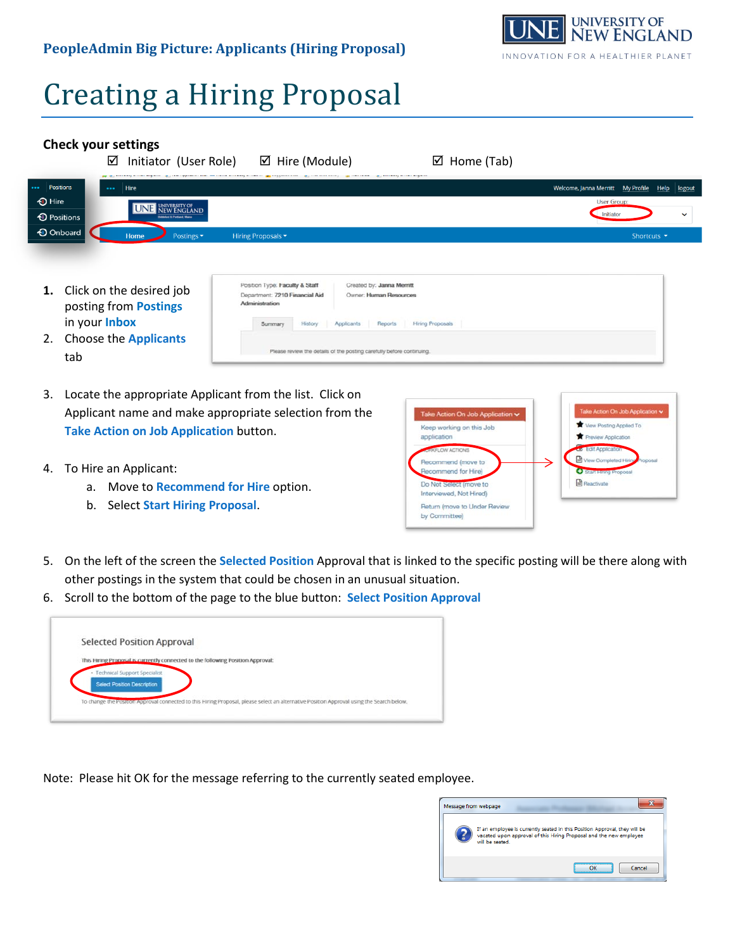## **PeopleAdmin Big Picture: Applicants (Hiring Proposal)**



## Creating a Hiring Proposal

## **Check your settings**

|                                      | ☑        | Initiator (User Role)<br>pp and the total account angular and and approximations and colors accounting account and angular colors are | $\boxtimes$ Hire (Module)<br>--------- | $\boxtimes$ Home (Tab)<br>where we wong the compact meaning contacts |                                                 |  |
|--------------------------------------|----------|---------------------------------------------------------------------------------------------------------------------------------------|----------------------------------------|----------------------------------------------------------------------|-------------------------------------------------|--|
| Positions                            | $\cdots$ | Hire                                                                                                                                  |                                        |                                                                      | Welcome, Janna Merritt My Profile Help   logout |  |
| <b>1</b> Hire                        |          | <b>ENGLAND</b><br><b>Biddelord &amp; Portland, Maine</b>                                                                              |                                        |                                                                      | <b>User Group:</b>                              |  |
| <b><i><sup>O</sup></i></b> Positions |          |                                                                                                                                       |                                        |                                                                      | Initiator<br>$\checkmark$                       |  |
| <b>O</b> Onboard                     |          | <b>Home</b><br>Postings $\blacktriangledown$                                                                                          | Hiring Proposals $\blacktriangledown$  |                                                                      | Shortcuts $\blacktriangleright$                 |  |
|                                      |          |                                                                                                                                       |                                        |                                                                      |                                                 |  |
|                                      |          |                                                                                                                                       |                                        |                                                                      |                                                 |  |

Created by: Janna Merritt

Owner: Human Resources

Please review the details of the posting carefully before continuing.

Reports | Hiring Proposals

- **1.** Click on the desired job posting from **Postings** in your **Inbox**
- 2. Choose the **Applicants** tab
- 3. Locate the appropriate Applicant from the list. Click on Applicant name and make appropriate selection from the **Take Action on Job Application** button.
- 4. To Hire an Applicant:
	- a. Move to **Recommend for Hire** option.
	- b. Select **Start Hiring Proposal**.



- 5. On the left of the screen the **Selected Position** Approval that is linked to the specific posting will be there along with other postings in the system that could be chosen in an unusual situation.
- 6. Scroll to the bottom of the page to the blue button: **Select Position Approval**

Position Type: Faculty & Staff

Department: 7210 Financial Aid

Summary History Applicants

Administration

| <b>Selected Position Approval</b>                                                                                                         |
|-------------------------------------------------------------------------------------------------------------------------------------------|
| This Hiring Proposal is currently connected to the following Position Approval:                                                           |
| <b>Technical Support Specialist</b>                                                                                                       |
| <b>Select Position Description</b>                                                                                                        |
| To change the Position Approval connected to this Hiring Proposal, please select an alternative Position Approval using the Search below. |

Note: Please hit OK for the message referring to the currently seated employee.